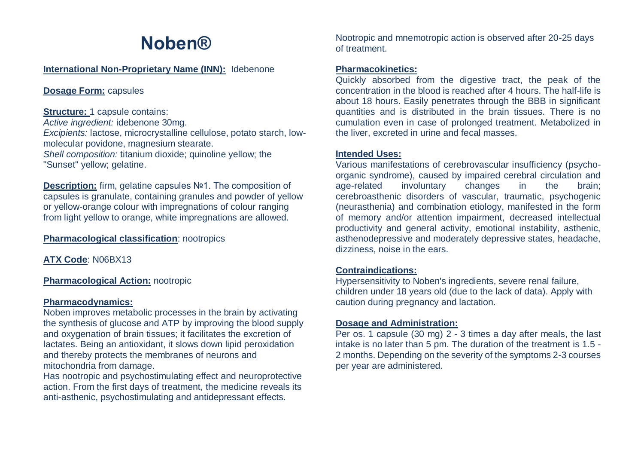# **Noben®**

#### **International Non-Proprietary Name (INN):** Idebenone

## **Dosage Form:** capsules

#### **Structure: 1 capsule contains:**

*Active ingredient:* idebenone 30mg. *Excipients:* lactose, microcrystalline cellulose, potato starch, lowmolecular povidone, magnesium stearate. *Shell composition:* titanium dioxide; quinoline yellow; the "Sunset" yellow; gelatine.

**Description:** firm, gelatine capsules №1. The composition of capsules is granulate, containing granules and powder of yellow or yellow-orange colour with impregnations of colour ranging from light yellow to orange, white impregnations are allowed.

#### **Pharmacological classification**: nootropics

**ATX Code**: N06BX13

#### **Pharmacological Action:** nootropic

#### **Pharmacodynamics:**

Noben improves metabolic processes in the brain by activating the synthesis of glucose and ATP by improving the blood supply and oxygenation of brain tissues; it facilitates the excretion of lactates. Being an antioxidant, it slows down lipid peroxidation and thereby protects the membranes of neurons and mitochondria from damage.

Has nootropic and psychostimulating effect and neuroprotective action. From the first days of treatment, the medicine reveals its anti-asthenic, psychostimulating and antidepressant effects.

Nootropic and mnemotropic action is observed after 20-25 days of treatment.

## **Pharmacokinetics:**

Quickly absorbed from the digestive tract, the peak of the concentration in the blood is reached after 4 hours. The half-life is about 18 hours. Easily penetrates through the BBB in significant quantities and is distributed in the brain tissues. There is no cumulation even in case of prolonged treatment. Metabolized in the liver, excreted in urine and fecal masses.

#### **Intended Uses:**

Various manifestations of cerebrovascular insufficiency (psychoorganic syndrome), caused by impaired cerebral circulation and age-related involuntary changes in the brain; cerebroasthenic disorders of vascular, traumatic, psychogenic (neurasthenia) and combination etiology, manifested in the form of memory and/or attention impairment, decreased intellectual productivity and general activity, emotional instability, asthenic, asthenodepressive and moderately depressive states, headache, dizziness, noise in the ears.

#### **Contraindications:**

Hypersensitivity to Noben's ingredients, severe renal failure, children under 18 years old (due to the lack of data). Apply with caution during pregnancy and lactation.

#### **Dosage and Administration:**

Per os. 1 capsule (30 mg) 2 - 3 times a day after meals, the last intake is no later than 5 pm. The duration of the treatment is 1.5 - 2 months. Depending on the severity of the symptoms 2-3 courses per year are administered.